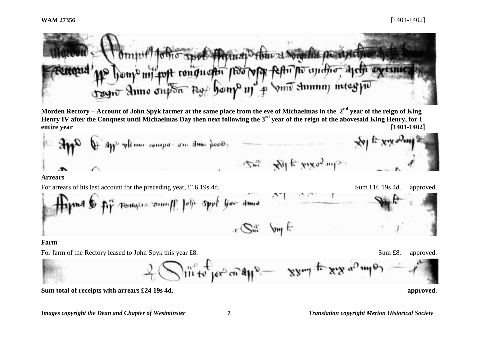He honyo mi post conquesta pos respe festu po cyrotro ajetti exermi

**Morden Rectory – Account of John Spyk farmer at the same place from the eve of Michaelmas in the 2nd year of the reign of King Henry IV after the Conquest until Michaelmas Day then next following the 3rd year of the reign of the abovesaid King Henry, for 1 entire year [1401-1402]**



**Arrears**

For arrears of his last account for the preceding year, £16 19s 4d.  $\blacksquare$  Sum £16 19s 4d. approved.



**Farm**

For farm of the Rectory leased to John Spyk this year £8. Sum £8. approved.



**Sum total of receipts with arrears £24 19s 4d. approved.**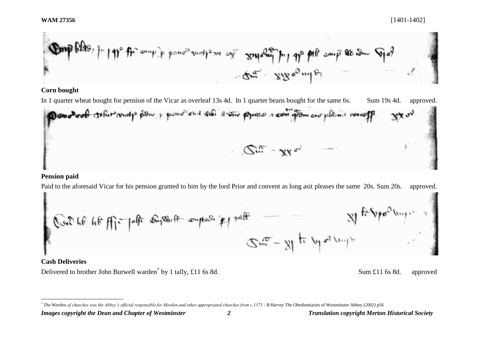$$
\sum_{n=0}^{\infty} \frac{1}{n!} \int_{0}^{\infty} \int_{0}^{\infty} \int_{0}^{\infty} \int_{0}^{\infty} \int_{0}^{\infty} \int_{0}^{\infty} \int_{0}^{\infty} \int_{0}^{\infty} \int_{0}^{\infty} \int_{0}^{\infty} \int_{0}^{\infty} \int_{0}^{\infty} \int_{0}^{\infty} \int_{0}^{\infty} \int_{0}^{\infty} \int_{0}^{\infty} \int_{0}^{\infty} \int_{0}^{\infty} \int_{0}^{\infty} \int_{0}^{\infty} \int_{0}^{\infty} \int_{0}^{\infty} \int_{0}^{\infty} \int_{0}^{\infty} \int_{0}^{\infty} \int_{0}^{\infty} \int_{0}^{\infty} \int_{0}^{\infty} \int_{0}^{\infty} \int_{0}^{\infty} \int_{0}^{\infty} \int_{0}^{\infty} \int_{0}^{\infty} \int_{0}^{\infty} \int_{0}^{\infty} \int_{0}^{\infty} \int_{0}^{\infty} \int_{0}^{\infty} \int_{0}^{\infty} \int_{0}^{\infty} \int_{0}^{\infty} \int_{0}^{\infty} \int_{0}^{\infty} \int_{0}^{\infty} \int_{0}^{\infty} \int_{0}^{\infty} \int_{0}^{\infty} \int_{0}^{\infty} \int_{0}^{\infty} \int_{0}^{\infty} \int_{0}^{\infty} \int_{0}^{\infty} \int_{0}^{\infty} \int_{0}^{\infty} \int_{0}^{\infty} \int_{0}^{\infty} \int_{0}^{\infty} \int_{0}^{\infty} \int_{0}^{\infty} \int_{0}^{\infty} \int_{0}^{\infty} \int_{0}^{\infty} \int_{0}^{\infty} \int_{0}^{\infty} \int_{0}^{\infty} \int_{0}^{\infty} \int_{0}^{\infty} \int_{0}^{\infty} \int_{0}^{\infty} \int_{0}^{\infty} \int_{0}^{\infty} \int_{0}^{\infty} \int_{0}^{\infty} \int_{0}^{\infty}
$$

## **Corn bought**

In 1 quarter wheat bought for pension of the Vicar as overleaf 13s 4d. In 1 quarter beans bought for the same 6s. Sum 19s 4d. approved.

## **Pension paid**

٠

Paid to the aforesaid Vicar for his pension granted to him by the lord Prior and convent as long asit pleases the same 20s. Sum 20s. approved.

## **Cash Deliveries**

Delivered to brother John Burwell warden<sup>\*</sup> by 1 tally, £11 6s 8d. <br>
Sum £11 6s 8d. approved

**SO** 

*Images copyright the Dean and Chapter of Westminster 2 Translation copyright Merton Historical Society*

 *\* The Warden of churches was the Abbey's official responsible for Morden and other appropriated churches from c.1375 - B Harvey* The Obedientiaries of Westminster Abbey *(2002) p56*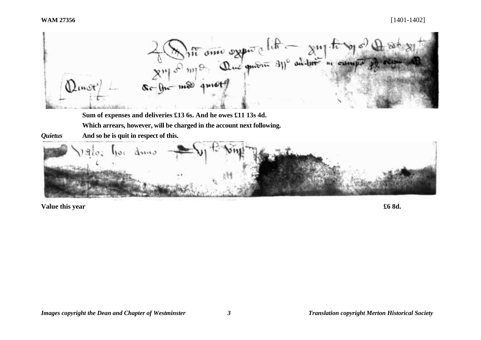

**Value this year**  $\text{\textsterling}68d$ .